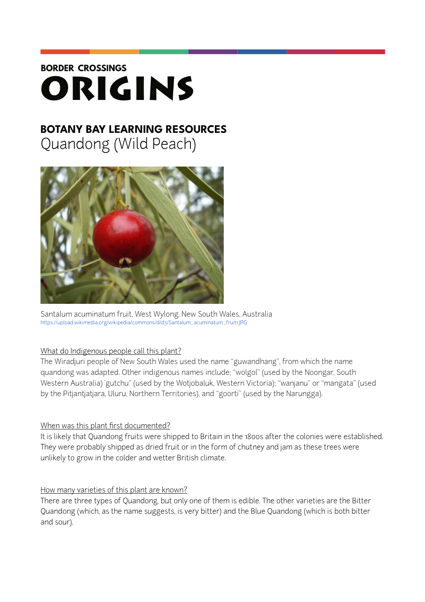# **BORDER CROSSINGS** ORIGINS

# **BOTANY BAY LEARNING RESOURCES**

Quandong (Wild Peach)



Santalum acuminatum fruit, West Wylong, New South Wales, Australia [https://upload.wikimedia.org/wikipedia/commons/d/d3/Santalum\\_acuminatum\\_fruit1.JPG](https://upload.wikimedia.org/wikipedia/commons/d/d3/Santalum_acuminatum_fruit1.JPG)

#### What do Indigenous people call this plant?

The Wiradjuri people of New South Wales used the name "guwandhang", from which the name quandong was adapted. Other indigenous names include; "wolgol" (used by the Noongar, South Western Australia) "gutchu" (used by the Wotjobaluk, Western Victoria); "wanjanu" or "mangata" (used by the Pitjantjatjara, Uluru, Northern Territories), and "goorti" (used by the Narungga).

## When was this plant first documented?

It is likely that Quandong fruits were shipped to Britain in the 1800s after the colonies were established. They were probably shipped as dried fruit or in the form of chutney and jam as these trees were unlikely to grow in the colder and wetter British climate.

## How many varieties of this plant are known?

There are three types of Quandong, but only one of them is edible. The other varieties are the Bitter Quandong (which, as the name suggests, is very bitter) and the Blue Quandong (which is both bitter and sour).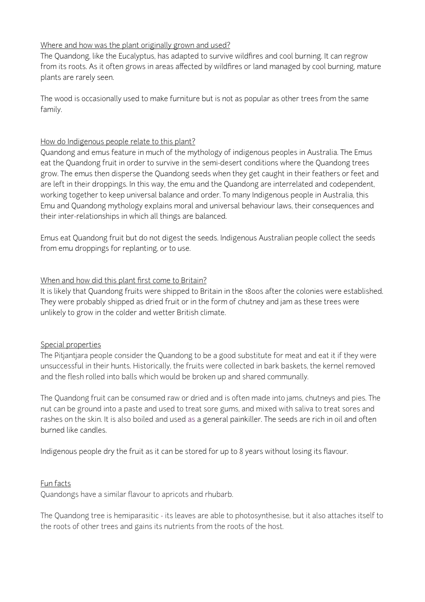#### Where and how was the plant originally grown and used?

The Quandong, like the Eucalyptus, has adapted to survive wildfires and cool burning. It can regrow from its roots. As it often grows in areas affected by wildfires or land managed by cool burning, mature plants are rarely seen.

The wood is occasionally used to make furniture but is not as popular as other trees from the same family.

#### How do Indigenous people relate to this plant?

Quandong and emus feature in much of the mythology of indigenous peoples in Australia. The Emus eat the Quandong fruit in order to survive in the semi-desert conditions where the Quandong trees grow. The emus then disperse the Quandong seeds when they get caught in their feathers or feet and are left in their droppings. In this way, the emu and the Quandong are interrelated and codependent, working together to keep universal balance and order. To many Indigenous people in Australia, this Emu and Quandong mythology explains moral and universal behaviour laws, their consequences and their inter-relationships in which all things are balanced.

Emus eat Quandong fruit but do not digest the seeds. Indigenous Australian people collect the seeds from emu droppings for replanting, or to use.

#### When and how did this plant first come to Britain?

It is likely that Quandong fruits were shipped to Britain in the 1800s after the colonies were established. They were probably shipped as dried fruit or in the form of chutney and jam as these trees were unlikely to grow in the colder and wetter British climate.

#### Special properties

The Pitjantjara people consider the Quandong to be a good substitute for meat and eat it if they were unsuccessful in their hunts. Historically, the fruits were collected in bark baskets, the kernel removed and the flesh rolled into balls which would be broken up and shared communally.

The Quandong fruit can be consumed raw or dried and is often made into jams, chutneys and pies. The nut can be ground into a paste and used to treat sore gums, and mixed with saliva to treat sores and rashes on the skin. It is also boiled and used as a general painkiller. The seeds are rich in oil and often burned like candles.

Indigenous people dry the fruit as it can be stored for up to 8 years without losing its flavour.

#### Fun facts

Quandongs have a similar flavour to apricots and rhubarb.

The Quandong tree is hemiparasitic - its leaves are able to photosynthesise, but it also attaches itself to the roots of other trees and gains its nutrients from the roots of the host.